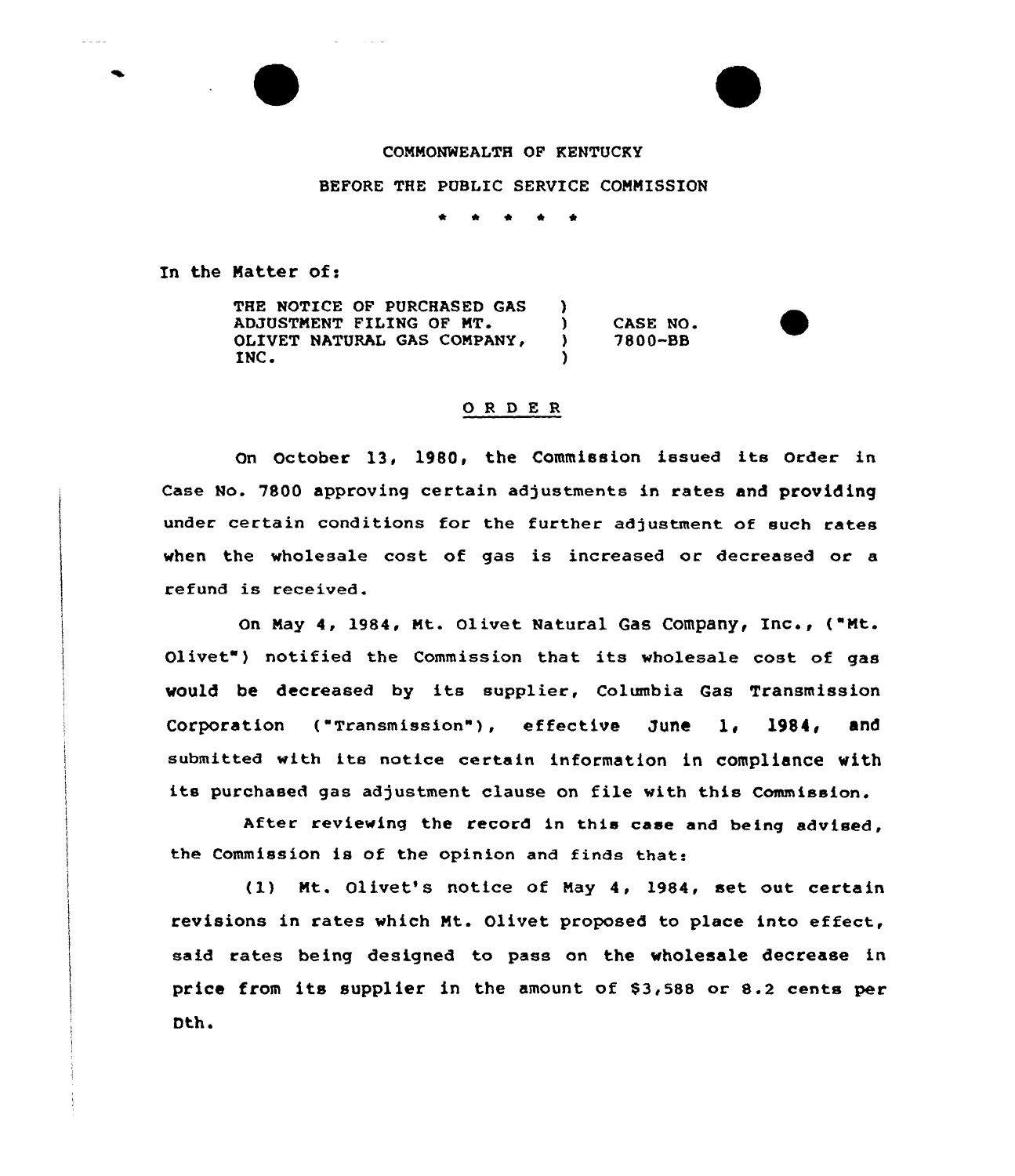### COMMONWEALTH OF KENTUCKY

# BEFORE THE PUBLIC SERVICE COMMISSION

 $\bullet$  $\bullet$ 

In the Matter of:

and and

THE NOTICE OF PURCHASED GAS ADJUSTMENT FILING OF MT. OLIVET NATURAL GAS COMPANY, INC.  $\left\{ \right\}$ ) CASE NO.<br>
1980-BB ) 7800-BB )

## 0 <sup>R</sup> <sup>D</sup> E R

On October 13, 1980, the Commission issued its order in Case No. 7800 approving certain adjustments in rates and providing under certain conditions for the further adjustment of such rates when the wholesale cost of gas is increased or decreased or a refund is received.

on May 4, 1984, Mt. olivet Natural Gas Company, Inc., ("Mt. Olivet") notified the Commission that its wholesale cost of gas would be decreased by its supplier, Columbia Gas Transmission Corporation ("Transmission"), effective June 1, 1984, and submitted with its notice certain information in compliance with its purchased gas adjustment clause on file with this Commission.

After reviewing the record in this case and being advised, the Commission is of the opinion and finds that:

(l) Mt. Olivet's notice of May 4, 1984, set out certain revisions in rates which Mt. Olivet proposed to place into effect, said rates being designed to pass on the wholesale decrease in price from its supplier in the amount of  $$3,588$  or 8.2 cents per Dth.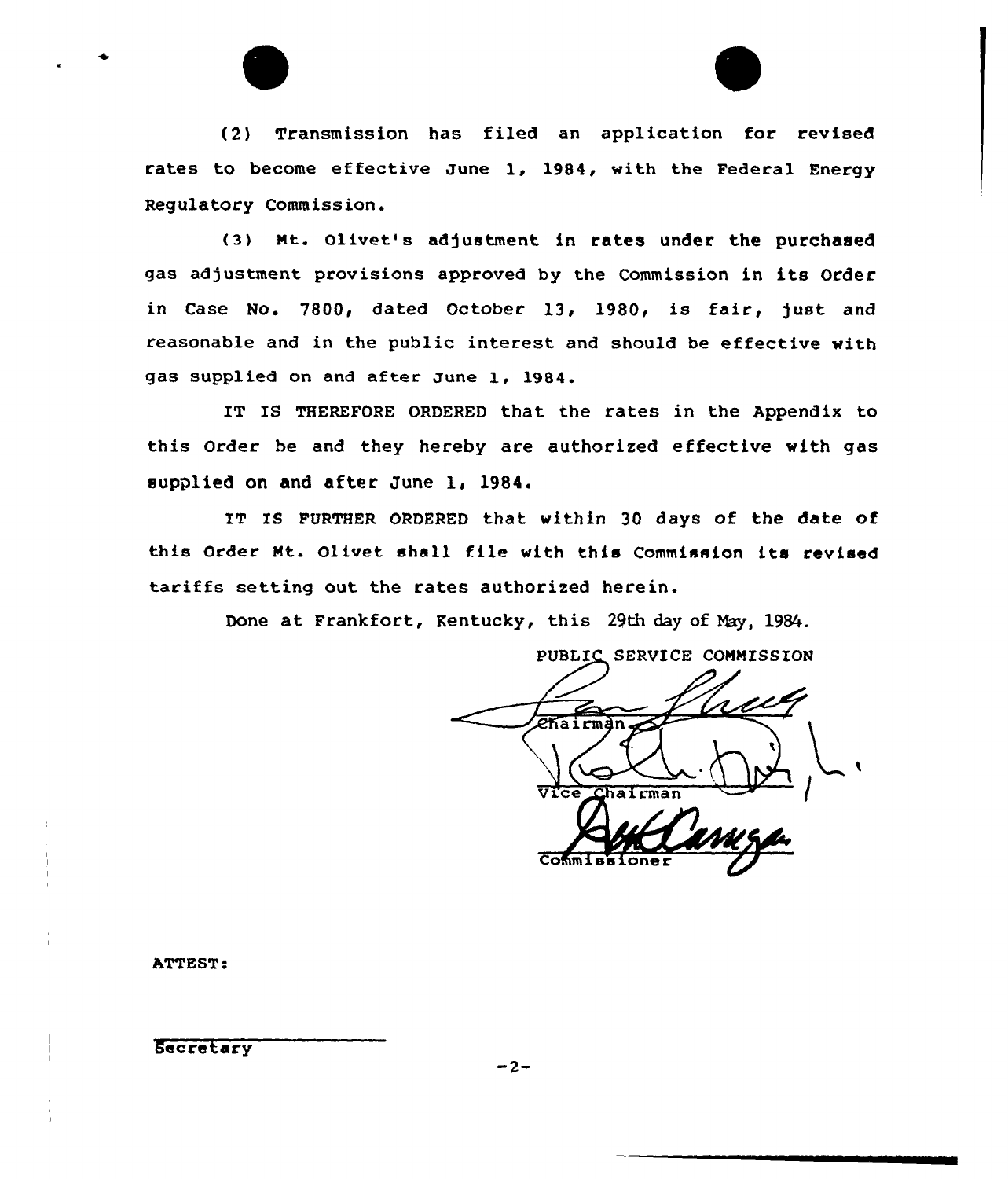

(2) Transmission has filed an application for revised rates to become effective June 1, 1984, with the Federal Energy Regulatory Commission.

(3) Mt. Olivet's adjustment in rates under the purchased gas adjustment provisions approved by the Commission in its Order in Case No. 7800, dated October 13, 1980, is fair, just and reasonable and in the public interest and should be effective with gas supplied on and aftee June 1, 1984.

IT IS THEREFORE ORDERED that the rates in the Appendix to this Order be and they hereby are authorized effective with gas supplied on and after June 1, 1984.

IT IS FURTHER ORDERED that within 30 days of the date of this Order Mt. Olivet shall file with this Commission its revised tariffs setting out the rates authorized herein.

Done at Frankfort, Kentucky, this 29th day of May, 1984.

PUBLIC SERVICE COMMISSION *Chairman* vice Chairman  $\overline{\mathsf{Com}}$ 

ATTEST

Secretary